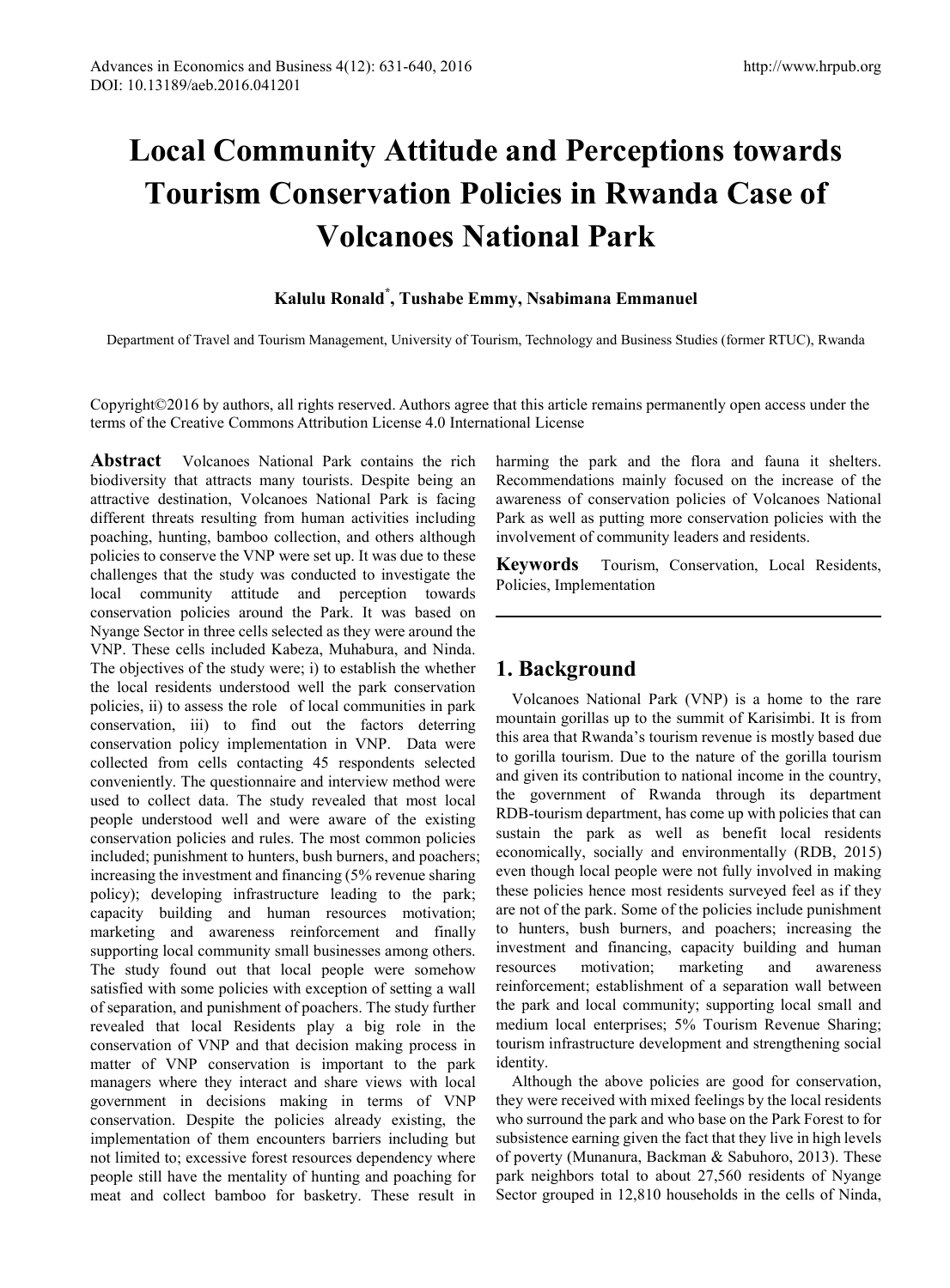# **Local Community Attitude and Perceptions towards Tourism Conservation Policies in Rwanda Case of Volcanoes National Park**

## **Kalulu Ronald\* , Tushabe Emmy, Nsabimana Emmanuel**

Department of Travel and Tourism Management, University of Tourism, Technology and Business Studies (former RTUC), Rwanda

Copyright©2016 by authors, all rights reserved. Authors agree that this article remains permanently open access under the terms of the Creative Commons Attribution License 4.0 International License

**Abstract** Volcanoes National Park contains the rich biodiversity that attracts many tourists. Despite being an attractive destination, Volcanoes National Park is facing different threats resulting from human activities including poaching, hunting, bamboo collection, and others although policies to conserve the VNP were set up. It was due to these challenges that the study was conducted to investigate the local community attitude and perception towards conservation policies around the Park. It was based on Nyange Sector in three cells selected as they were around the VNP. These cells included Kabeza, Muhabura, and Ninda. The objectives of the study were; i) to establish the whether the local residents understood well the park conservation policies, ii) to assess the role of local communities in park conservation, iii) to find out the factors deterring conservation policy implementation in VNP. Data were collected from cells contacting 45 respondents selected conveniently. The questionnaire and interview method were used to collect data. The study revealed that most local people understood well and were aware of the existing conservation policies and rules. The most common policies included; punishment to hunters, bush burners, and poachers; increasing the investment and financing (5% revenue sharing policy); developing infrastructure leading to the park; capacity building and human resources motivation; marketing and awareness reinforcement and finally supporting local community small businesses among others. The study found out that local people were somehow satisfied with some policies with exception of setting a wall of separation, and punishment of poachers. The study further revealed that local Residents play a big role in the conservation of VNP and that decision making process in matter of VNP conservation is important to the park managers where they interact and share views with local government in decisions making in terms of VNP conservation. Despite the policies already existing, the implementation of them encounters barriers including but not limited to; excessive forest resources dependency where people still have the mentality of hunting and poaching for meat and collect bamboo for basketry. These result in

harming the park and the flora and fauna it shelters. Recommendations mainly focused on the increase of the awareness of conservation policies of Volcanoes National Park as well as putting more conservation policies with the involvement of community leaders and residents.

**Keywords** Tourism, Conservation, Local Residents, Policies, Implementation

# **1. Background**

Volcanoes National Park (VNP) is a home to the rare mountain gorillas up to the summit of Karisimbi. It is from this area that Rwanda's tourism revenue is mostly based due to gorilla tourism. Due to the nature of the gorilla tourism and given its contribution to national income in the country, the government of Rwanda through its department RDB-tourism department, has come up with policies that can sustain the park as well as benefit local residents economically, socially and environmentally (RDB, 2015) even though local people were not fully involved in making these policies hence most residents surveyed feel as if they are not of the park. Some of the policies include punishment to hunters, bush burners, and poachers; increasing the investment and financing, capacity building and human resources motivation; marketing and awareness reinforcement; establishment of a separation wall between the park and local community; supporting local small and medium local enterprises; 5% Tourism Revenue Sharing; tourism infrastructure development and strengthening social identity.

Although the above policies are good for conservation, they were received with mixed feelings by the local residents who surround the park and who base on the Park Forest to for subsistence earning given the fact that they live in high levels of poverty (Munanura, Backman & Sabuhoro, 2013). These park neighbors total to about 27,560 residents of Nyange Sector grouped in 12,810 households in the cells of Ninda,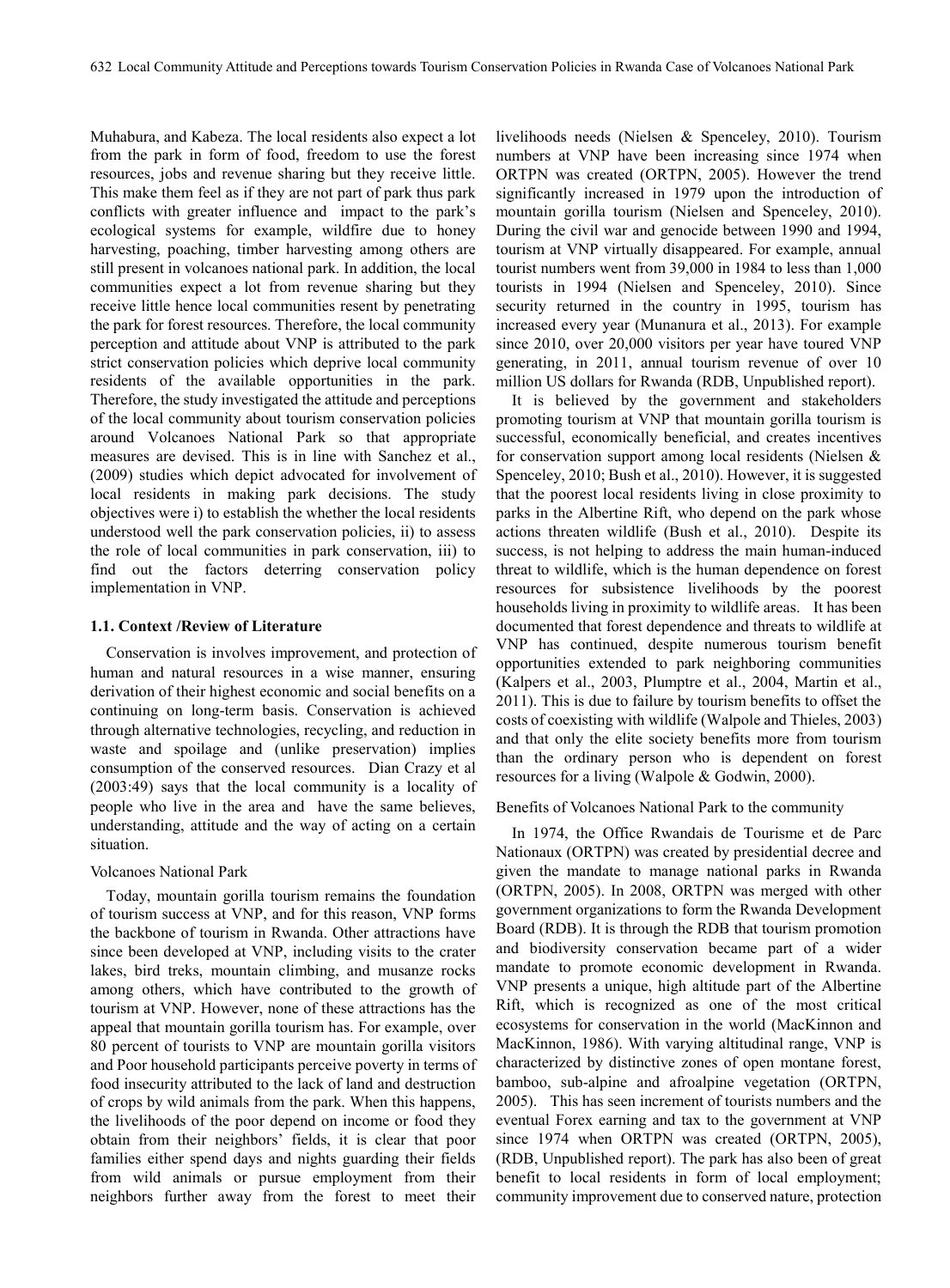Muhabura, and Kabeza. The local residents also expect a lot from the park in form of food, freedom to use the forest resources, jobs and revenue sharing but they receive little. This make them feel as if they are not part of park thus park conflicts with greater influence and impact to the park's ecological systems for example, wildfire due to honey harvesting, poaching, timber harvesting among others are still present in volcanoes national park. In addition, the local communities expect a lot from revenue sharing but they receive little hence local communities resent by penetrating the park for forest resources. Therefore, the local community perception and attitude about VNP is attributed to the park strict conservation policies which deprive local community residents of the available opportunities in the park. Therefore, the study investigated the attitude and perceptions of the local community about tourism conservation policies around Volcanoes National Park so that appropriate measures are devised. This is in line with Sanchez et al., (2009) studies which depict advocated for involvement of local residents in making park decisions. The study objectives were i) to establish the whether the local residents understood well the park conservation policies, ii) to assess the role of local communities in park conservation, iii) to find out the factors deterring conservation policy implementation in VNP.

#### **1.1. Context /Review of Literature**

Conservation is involves improvement, and protection of human and natural resources in a wise manner, ensuring derivation of their highest economic and social benefits on a continuing on long-term basis. Conservation is achieved through alternative technologies, recycling, and reduction in waste and spoilage and (unlike preservation) implies consumption of the conserved resources. Dian Crazy et al (2003:49) says that the local community is a locality of people who live in the area and have the same believes, understanding, attitude and the way of acting on a certain situation.

#### Volcanoes National Park

Today, mountain gorilla tourism remains the foundation of tourism success at VNP, and for this reason, VNP forms the backbone of tourism in Rwanda. Other attractions have since been developed at VNP, including visits to the crater lakes, bird treks, mountain climbing, and musanze rocks among others, which have contributed to the growth of tourism at VNP. However, none of these attractions has the appeal that mountain gorilla tourism has. For example, over 80 percent of tourists to VNP are mountain gorilla visitors and Poor household participants perceive poverty in terms of food insecurity attributed to the lack of land and destruction of crops by wild animals from the park. When this happens, the livelihoods of the poor depend on income or food they obtain from their neighbors' fields, it is clear that poor families either spend days and nights guarding their fields from wild animals or pursue employment from their neighbors further away from the forest to meet their

livelihoods needs (Nielsen & Spenceley, 2010). Tourism numbers at VNP have been increasing since 1974 when ORTPN was created (ORTPN, 2005). However the trend significantly increased in 1979 upon the introduction of mountain gorilla tourism (Nielsen and Spenceley, 2010). During the civil war and genocide between 1990 and 1994, tourism at VNP virtually disappeared. For example, annual tourist numbers went from 39,000 in 1984 to less than 1,000 tourists in 1994 (Nielsen and Spenceley, 2010). Since security returned in the country in 1995, tourism has increased every year (Munanura et al., 2013). For example since 2010, over 20,000 visitors per year have toured VNP generating, in 2011, annual tourism revenue of over 10 million US dollars for Rwanda (RDB, Unpublished report).

It is believed by the government and stakeholders promoting tourism at VNP that mountain gorilla tourism is successful, economically beneficial, and creates incentives for conservation support among local residents (Nielsen & Spenceley, 2010; Bush et al., 2010). However, it is suggested that the poorest local residents living in close proximity to parks in the Albertine Rift, who depend on the park whose actions threaten wildlife (Bush et al., 2010). Despite its success, is not helping to address the main human-induced threat to wildlife, which is the human dependence on forest resources for subsistence livelihoods by the poorest households living in proximity to wildlife areas. It has been documented that forest dependence and threats to wildlife at VNP has continued, despite numerous tourism benefit opportunities extended to park neighboring communities (Kalpers et al., 2003, Plumptre et al., 2004, Martin et al., 2011). This is due to failure by tourism benefits to offset the costs of coexisting with wildlife (Walpole and Thieles, 2003) and that only the elite society benefits more from tourism than the ordinary person who is dependent on forest resources for a living (Walpole & Godwin, 2000).

#### Benefits of Volcanoes National Park to the community

In 1974, the Office Rwandais de Tourisme et de Parc Nationaux (ORTPN) was created by presidential decree and given the mandate to manage national parks in Rwanda (ORTPN, 2005). In 2008, ORTPN was merged with other government organizations to form the Rwanda Development Board (RDB). It is through the RDB that tourism promotion and biodiversity conservation became part of a wider mandate to promote economic development in Rwanda. VNP presents a unique, high altitude part of the Albertine Rift, which is recognized as one of the most critical ecosystems for conservation in the world (MacKinnon and MacKinnon, 1986). With varying altitudinal range, VNP is characterized by distinctive zones of open montane forest, bamboo, sub-alpine and afroalpine vegetation (ORTPN, 2005). This has seen increment of tourists numbers and the eventual Forex earning and tax to the government at VNP since 1974 when ORTPN was created (ORTPN, 2005), (RDB, Unpublished report). The park has also been of great benefit to local residents in form of local employment; community improvement due to conserved nature, protection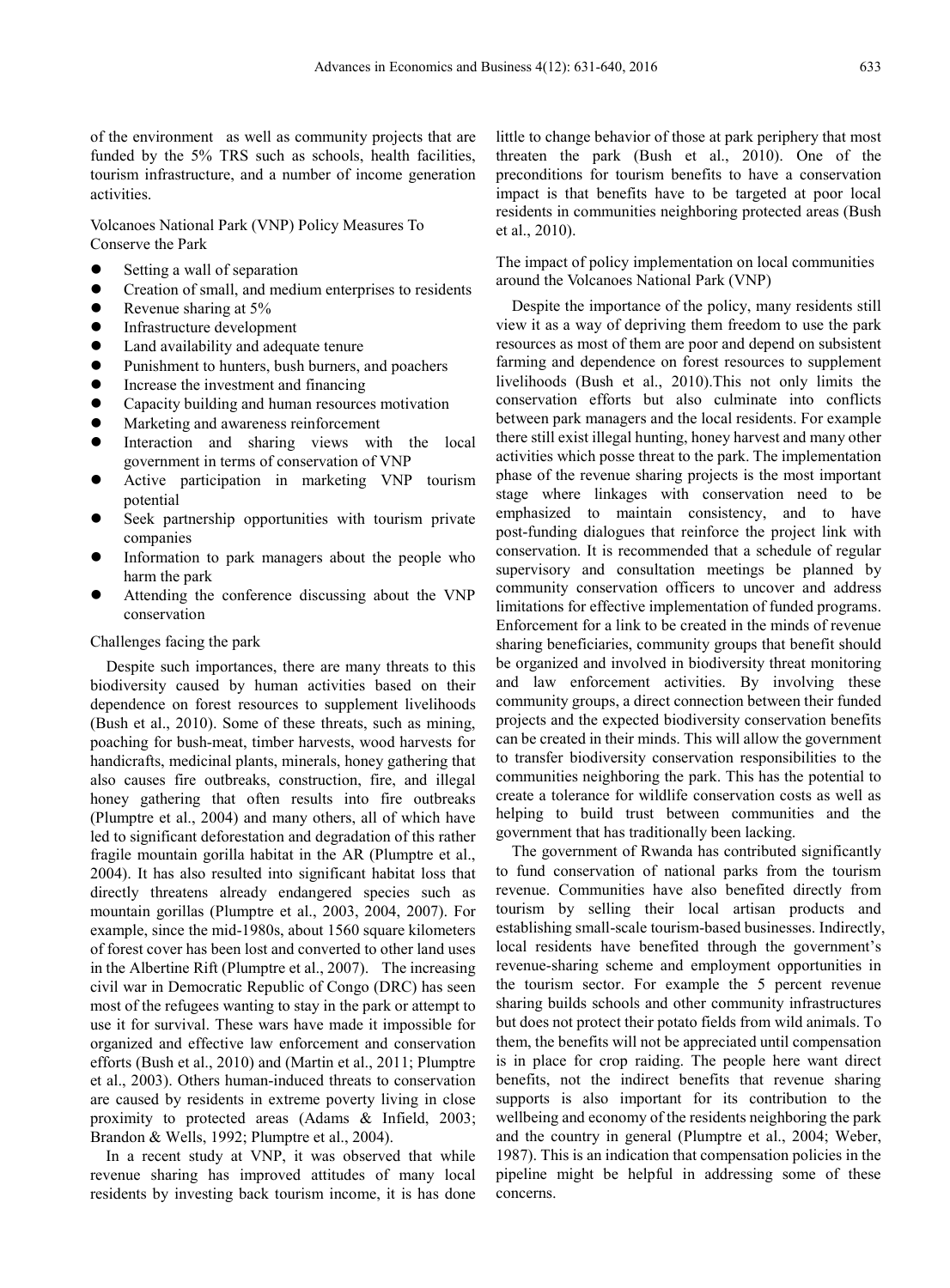of the environment as well as community projects that are funded by the 5% TRS such as schools, health facilities, tourism infrastructure, and a number of income generation activities.

Volcanoes National Park (VNP) Policy Measures To Conserve the Park

- $\bullet$  Setting a wall of separation
- Creation of small, and medium enterprises to residents
- Revenue sharing at 5%
- **•** Infrastructure development
- Land availability and adequate tenure
- Punishment to hunters, bush burners, and poachers
- Increase the investment and financing
- Capacity building and human resources motivation
- Marketing and awareness reinforcement
- Interaction and sharing views with the local government in terms of conservation of VNP
- Active participation in marketing VNP tourism potential
- Seek partnership opportunities with tourism private companies
- Information to park managers about the people who harm the park
- Attending the conference discussing about the VNP conservation

#### Challenges facing the park

Despite such importances, there are many threats to this biodiversity caused by human activities based on their dependence on forest resources to supplement livelihoods (Bush et al., 2010). Some of these threats, such as mining, poaching for bush-meat, timber harvests, wood harvests for handicrafts, medicinal plants, minerals, honey gathering that also causes fire outbreaks, construction, fire, and illegal honey gathering that often results into fire outbreaks (Plumptre et al., 2004) and many others, all of which have led to significant deforestation and degradation of this rather fragile mountain gorilla habitat in the AR (Plumptre et al., 2004). It has also resulted into significant habitat loss that directly threatens already endangered species such as mountain gorillas (Plumptre et al., 2003, 2004, 2007). For example, since the mid-1980s, about 1560 square kilometers of forest cover has been lost and converted to other land uses in the Albertine Rift (Plumptre et al., 2007). The increasing civil war in Democratic Republic of Congo (DRC) has seen most of the refugees wanting to stay in the park or attempt to use it for survival. These wars have made it impossible for organized and effective law enforcement and conservation efforts (Bush et al., 2010) and (Martin et al., 2011; Plumptre et al., 2003). Others human-induced threats to conservation are caused by residents in extreme poverty living in close proximity to protected areas (Adams & Infield, 2003; Brandon & Wells, 1992; Plumptre et al., 2004).

In a recent study at VNP, it was observed that while revenue sharing has improved attitudes of many local residents by investing back tourism income, it is has done little to change behavior of those at park periphery that most threaten the park (Bush et al., 2010). One of the preconditions for tourism benefits to have a conservation impact is that benefits have to be targeted at poor local residents in communities neighboring protected areas (Bush et al., 2010).

The impact of policy implementation on local communities around the Volcanoes National Park (VNP)

Despite the importance of the policy, many residents still view it as a way of depriving them freedom to use the park resources as most of them are poor and depend on subsistent farming and dependence on forest resources to supplement livelihoods (Bush et al., 2010).This not only limits the conservation efforts but also culminate into conflicts between park managers and the local residents. For example there still exist illegal hunting, honey harvest and many other activities which posse threat to the park. The implementation phase of the revenue sharing projects is the most important stage where linkages with conservation need to be emphasized to maintain consistency, and to have post-funding dialogues that reinforce the project link with conservation. It is recommended that a schedule of regular supervisory and consultation meetings be planned by community conservation officers to uncover and address limitations for effective implementation of funded programs. Enforcement for a link to be created in the minds of revenue sharing beneficiaries, community groups that benefit should be organized and involved in biodiversity threat monitoring and law enforcement activities. By involving these community groups, a direct connection between their funded projects and the expected biodiversity conservation benefits can be created in their minds. This will allow the government to transfer biodiversity conservation responsibilities to the communities neighboring the park. This has the potential to create a tolerance for wildlife conservation costs as well as helping to build trust between communities and the government that has traditionally been lacking.

The government of Rwanda has contributed significantly to fund conservation of national parks from the tourism revenue. Communities have also benefited directly from tourism by selling their local artisan products and establishing small-scale tourism-based businesses. Indirectly, local residents have benefited through the government's revenue-sharing scheme and employment opportunities in the tourism sector. For example the 5 percent revenue sharing builds schools and other community infrastructures but does not protect their potato fields from wild animals. To them, the benefits will not be appreciated until compensation is in place for crop raiding. The people here want direct benefits, not the indirect benefits that revenue sharing supports is also important for its contribution to the wellbeing and economy of the residents neighboring the park and the country in general (Plumptre et al., 2004; Weber, 1987). This is an indication that compensation policies in the pipeline might be helpful in addressing some of these concerns.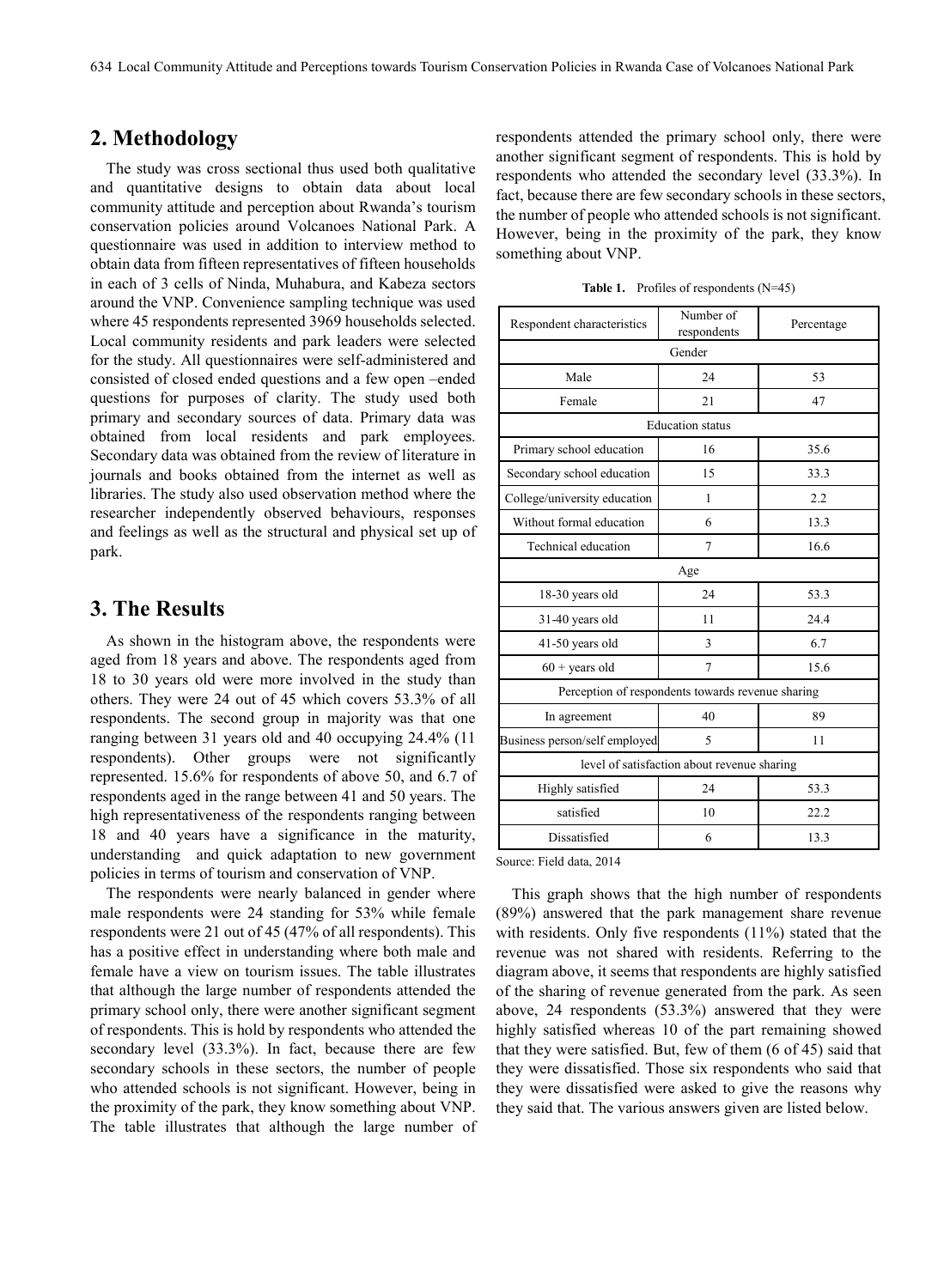# **2. Methodology**

The study was cross sectional thus used both qualitative and quantitative designs to obtain data about local community attitude and perception about Rwanda's tourism conservation policies around Volcanoes National Park. A questionnaire was used in addition to interview method to obtain data from fifteen representatives of fifteen households in each of 3 cells of Ninda, Muhabura, and Kabeza sectors around the VNP. Convenience sampling technique was used where 45 respondents represented 3969 households selected. Local community residents and park leaders were selected for the study. All questionnaires were self-administered and consisted of closed ended questions and a few open –ended questions for purposes of clarity. The study used both primary and secondary sources of data. Primary data was obtained from local residents and park employees. Secondary data was obtained from the review of literature in journals and books obtained from the internet as well as libraries. The study also used observation method where the researcher independently observed behaviours, responses and feelings as well as the structural and physical set up of park.

## **3. The Results**

As shown in the histogram above, the respondents were aged from 18 years and above. The respondents aged from 18 to 30 years old were more involved in the study than others. They were 24 out of 45 which covers 53.3% of all respondents. The second group in majority was that one ranging between 31 years old and 40 occupying 24.4% (11 respondents). Other groups were not significantly represented. 15.6% for respondents of above 50, and 6.7 of respondents aged in the range between 41 and 50 years. The high representativeness of the respondents ranging between 18 and 40 years have a significance in the maturity, understanding and quick adaptation to new government policies in terms of tourism and conservation of VNP.

The respondents were nearly balanced in gender where male respondents were 24 standing for 53% while female respondents were 21 out of 45 (47% of all respondents). This has a positive effect in understanding where both male and female have a view on tourism issues. The table illustrates that although the large number of respondents attended the primary school only, there were another significant segment of respondents. This is hold by respondents who attended the secondary level (33.3%). In fact, because there are few secondary schools in these sectors, the number of people who attended schools is not significant. However, being in the proximity of the park, they know something about VNP. The table illustrates that although the large number of

respondents attended the primary school only, there were another significant segment of respondents. This is hold by respondents who attended the secondary level (33.3%). In fact, because there are few secondary schools in these sectors, the number of people who attended schools is not significant. However, being in the proximity of the park, they know something about VNP.

Table 1. Profiles of respondents (N=45)

| Respondent characteristics                        | Number of<br>respondents | Percentage |  |  |  |
|---------------------------------------------------|--------------------------|------------|--|--|--|
|                                                   | Gender                   |            |  |  |  |
| Male                                              | 24                       | 53         |  |  |  |
| Female                                            | 21                       | 47         |  |  |  |
|                                                   | <b>Education</b> status  |            |  |  |  |
| Primary school education                          | 16                       | 35.6       |  |  |  |
| Secondary school education                        | 15                       | 33.3       |  |  |  |
| College/university education                      | 1                        | 2.2        |  |  |  |
| Without formal education                          | 6                        | 13.3       |  |  |  |
| Technical education                               | $\tau$                   | 16.6       |  |  |  |
|                                                   | Age                      |            |  |  |  |
| 18-30 years old                                   | 24                       | 53.3       |  |  |  |
| 31-40 years old                                   | 11                       | 24.4       |  |  |  |
| 41-50 years old                                   | 3                        | 6.7        |  |  |  |
| $60 + years$ old                                  | 7                        | 15.6       |  |  |  |
| Perception of respondents towards revenue sharing |                          |            |  |  |  |
| In agreement                                      | 40                       | 89         |  |  |  |
| Business person/self employed                     | 5                        | 11         |  |  |  |
| level of satisfaction about revenue sharing       |                          |            |  |  |  |
| Highly satisfied                                  | 24                       | 53.3       |  |  |  |
| satisfied                                         | 10                       | 22.2       |  |  |  |
| Dissatisfied                                      | 6                        | 13.3       |  |  |  |

Source: Field data, 2014

This graph shows that the high number of respondents (89%) answered that the park management share revenue with residents. Only five respondents (11%) stated that the revenue was not shared with residents. Referring to the diagram above, it seems that respondents are highly satisfied of the sharing of revenue generated from the park. As seen above, 24 respondents (53.3%) answered that they were highly satisfied whereas 10 of the part remaining showed that they were satisfied. But, few of them (6 of 45) said that they were dissatisfied. Those six respondents who said that they were dissatisfied were asked to give the reasons why they said that. The various answers given are listed below.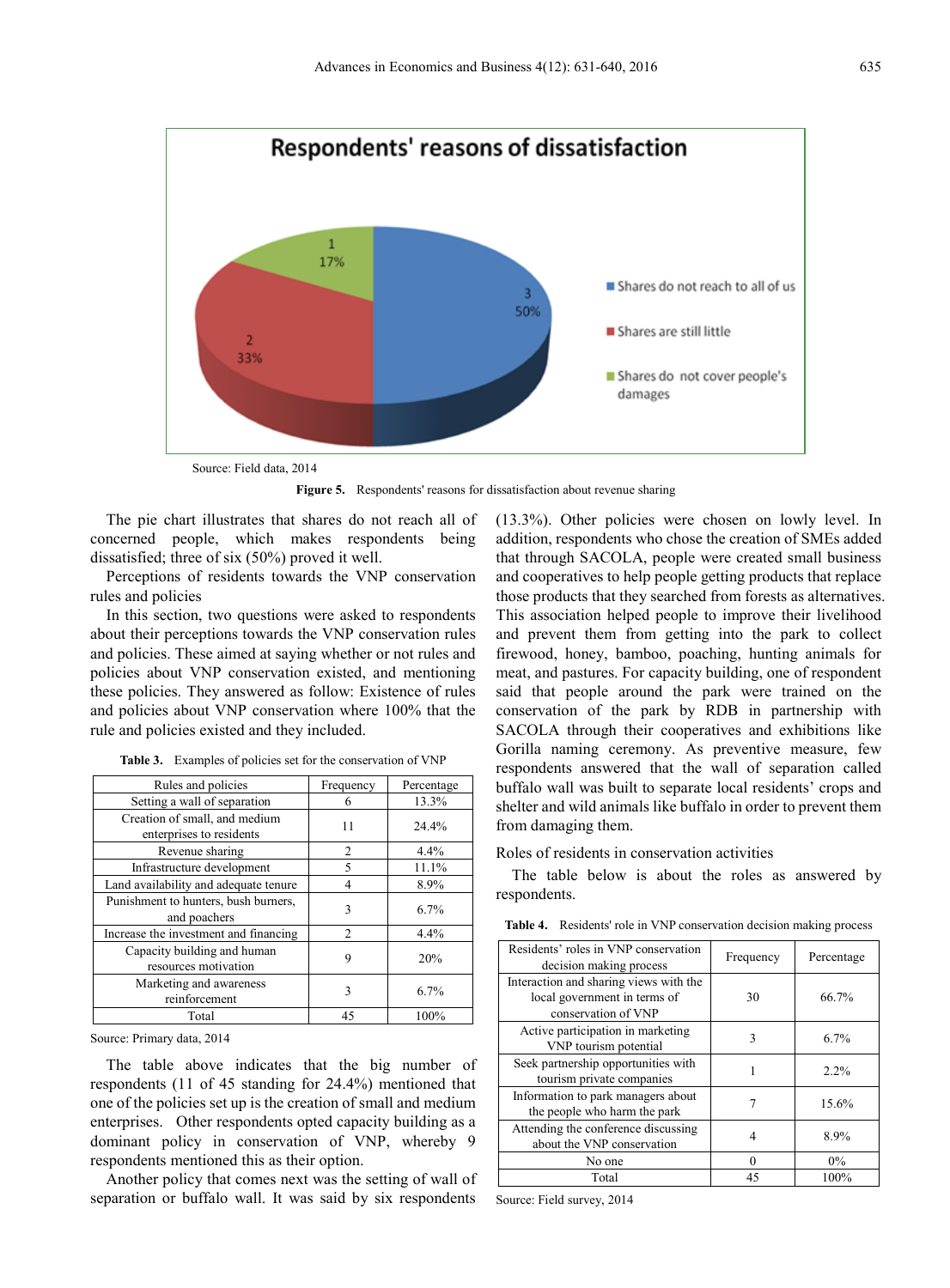

Source: Field data, 2014

Figure 5. Respondents' reasons for dissatisfaction about revenue sharing

The pie chart illustrates that shares do not reach all of concerned people, which makes respondents being dissatisfied; three of six (50%) proved it well.

Perceptions of residents towards the VNP conservation rules and policies

In this section, two questions were asked to respondents about their perceptions towards the VNP conservation rules and policies. These aimed at saying whether or not rules and policies about VNP conservation existed, and mentioning these policies. They answered as follow: Existence of rules and policies about VNP conservation where 100% that the rule and policies existed and they included.

| Rules and policies                                        | Frequency      | Percentage |
|-----------------------------------------------------------|----------------|------------|
| Setting a wall of separation                              | 6              | 13.3%      |
| Creation of small, and medium<br>enterprises to residents | 11             | 24.4%      |
| Revenue sharing                                           | 2              | 4.4%       |
| Infrastructure development                                | 5              | 11.1%      |
| Land availability and adequate tenure                     | 4              | 8.9%       |
| Punishment to hunters, bush burners,<br>and poachers      | 3              | 6.7%       |
| Increase the investment and financing                     | $\mathfrak{D}$ | 4.4%       |
| Capacity building and human<br>resources motivation       | 9              | 20%        |
| Marketing and awareness<br>reinforcement                  | 3              | 6.7%       |
| Total                                                     | 45             | 100%       |

**Table 3.** Examples of policies set for the conservation of VNP

Source: Primary data, 2014

The table above indicates that the big number of respondents (11 of 45 standing for 24.4%) mentioned that one of the policies set up is the creation of small and medium enterprises. Other respondents opted capacity building as a dominant policy in conservation of VNP, whereby 9 respondents mentioned this as their option.

Another policy that comes next was the setting of wall of separation or buffalo wall. It was said by six respondents

(13.3%). Other policies were chosen on lowly level. In addition, respondents who chose the creation of SMEs added that through SACOLA, people were created small business and cooperatives to help people getting products that replace those products that they searched from forests as alternatives. This association helped people to improve their livelihood and prevent them from getting into the park to collect firewood, honey, bamboo, poaching, hunting animals for meat, and pastures. For capacity building, one of respondent said that people around the park were trained on the conservation of the park by RDB in partnership with SACOLA through their cooperatives and exhibitions like Gorilla naming ceremony. As preventive measure, few respondents answered that the wall of separation called buffalo wall was built to separate local residents' crops and shelter and wild animals like buffalo in order to prevent them from damaging them.

Roles of residents in conservation activities

The table below is about the roles as answered by respondents.

| <b>Table 4.</b> Residents' role in VNP conservation decision making process |  |
|-----------------------------------------------------------------------------|--|
|-----------------------------------------------------------------------------|--|

| Residents' roles in VNP conservation<br>decision making process                               | Frequency | Percentage |
|-----------------------------------------------------------------------------------------------|-----------|------------|
| Interaction and sharing views with the<br>local government in terms of<br>conservation of VNP | 30        | 66.7%      |
| Active participation in marketing<br>VNP tourism potential                                    |           | 6.7%       |
| Seek partnership opportunities with<br>tourism private companies                              |           | 2.2%       |
| Information to park managers about<br>the people who harm the park                            |           | 15.6%      |
| Attending the conference discussing<br>about the VNP conservation                             | 4         | 8.9%       |
| No one                                                                                        | $\theta$  | $0\%$      |
| Total                                                                                         | 45        | 100%       |

Source: Field survey, 2014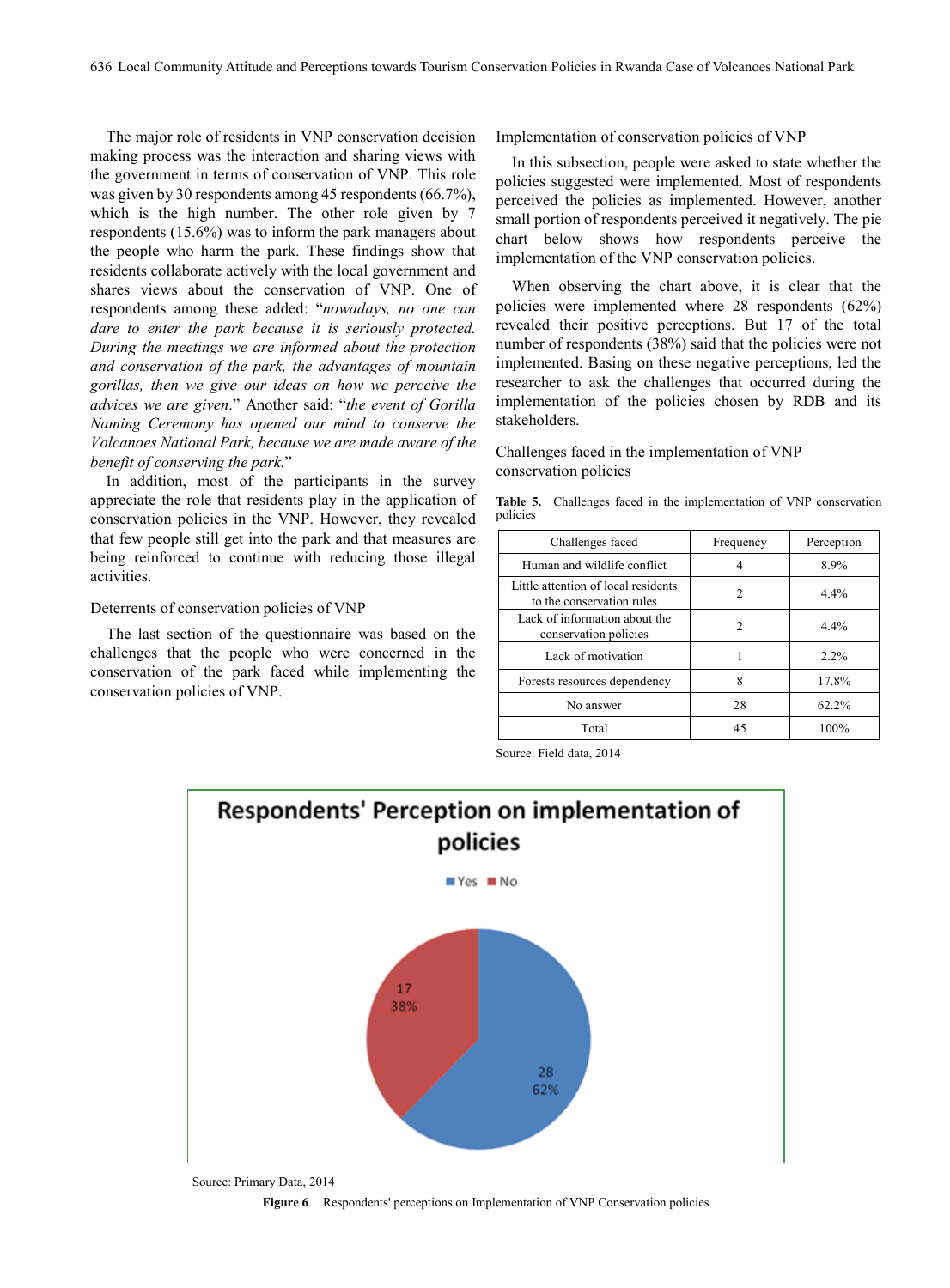The major role of residents in VNP conservation decision making process was the interaction and sharing views with the government in terms of conservation of VNP. This role was given by 30 respondents among 45 respondents (66.7%), which is the high number. The other role given by 7 respondents (15.6%) was to inform the park managers about the people who harm the park. These findings show that residents collaborate actively with the local government and shares views about the conservation of VNP. One of respondents among these added: "*nowadays, no one can dare to enter the park because it is seriously protected. During the meetings we are informed about the protection and conservation of the park, the advantages of mountain gorillas, then we give our ideas on how we perceive the advices we are given*." Another said: "*the event of Gorilla Naming Ceremony has opened our mind to conserve the Volcanoes National Park, because we are made aware of the benefit of conserving the park.*"

In addition, most of the participants in the survey appreciate the role that residents play in the application of conservation policies in the VNP. However, they revealed that few people still get into the park and that measures are being reinforced to continue with reducing those illegal activities.

#### Deterrents of conservation policies of VNP

The last section of the questionnaire was based on the challenges that the people who were concerned in the conservation of the park faced while implementing the conservation policies of VNP.

Implementation of conservation policies of VNP

In this subsection, people were asked to state whether the policies suggested were implemented. Most of respondents perceived the policies as implemented. However, another small portion of respondents perceived it negatively. The pie chart below shows how respondents perceive the implementation of the VNP conservation policies.

When observing the chart above, it is clear that the policies were implemented where 28 respondents (62%) revealed their positive perceptions. But 17 of the total number of respondents (38%) said that the policies were not implemented. Basing on these negative perceptions, led the researcher to ask the challenges that occurred during the implementation of the policies chosen by RDB and its stakeholders.

Challenges faced in the implementation of VNP conservation policies

**Table 5.** Challenges faced in the implementation of VNP conservation policies

| Challenges faced                                                 | Frequency | Perception |
|------------------------------------------------------------------|-----------|------------|
| Human and wildlife conflict                                      |           | 8.9%       |
| Little attention of local residents<br>to the conservation rules | 2         | $4.4\%$    |
| Lack of information about the<br>conservation policies           |           | $4.4\%$    |
| Lack of motivation                                               |           | $2.2\%$    |
| Forests resources dependency                                     | 8         | 17.8%      |
| No answer                                                        | 28        | 62.2%      |
| Total                                                            | 45        | 100%       |

Source: Field data, 2014



Source: Primary Data, 2014

**Figure 6**. Respondents' perceptions on Implementation of VNP Conservation policies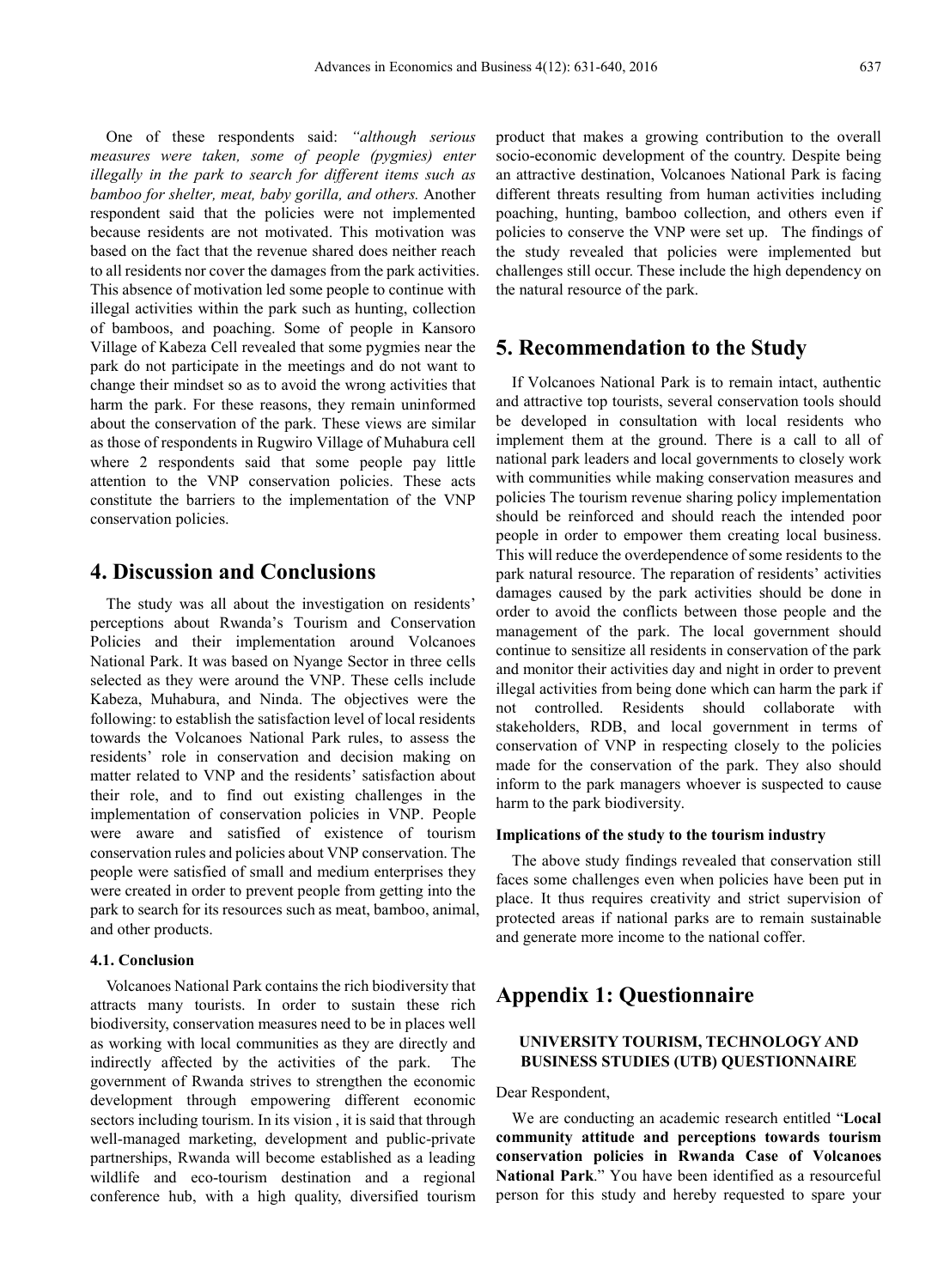One of these respondents said: *"although serious measures were taken, some of people (pygmies) enter illegally in the park to search for different items such as bamboo for shelter, meat, baby gorilla, and others.* Another respondent said that the policies were not implemented because residents are not motivated. This motivation was based on the fact that the revenue shared does neither reach to all residents nor cover the damages from the park activities. This absence of motivation led some people to continue with illegal activities within the park such as hunting, collection of bamboos, and poaching. Some of people in Kansoro Village of Kabeza Cell revealed that some pygmies near the park do not participate in the meetings and do not want to change their mindset so as to avoid the wrong activities that harm the park. For these reasons, they remain uninformed about the conservation of the park. These views are similar as those of respondents in Rugwiro Village of Muhabura cell where 2 respondents said that some people pay little attention to the VNP conservation policies. These acts constitute the barriers to the implementation of the VNP conservation policies.

## **4. Discussion and Conclusions**

The study was all about the investigation on residents' perceptions about Rwanda's Tourism and Conservation Policies and their implementation around Volcanoes National Park. It was based on Nyange Sector in three cells selected as they were around the VNP. These cells include Kabeza, Muhabura, and Ninda. The objectives were the following: to establish the satisfaction level of local residents towards the Volcanoes National Park rules, to assess the residents' role in conservation and decision making on matter related to VNP and the residents' satisfaction about their role, and to find out existing challenges in the implementation of conservation policies in VNP. People were aware and satisfied of existence of tourism conservation rules and policies about VNP conservation. The people were satisfied of small and medium enterprises they were created in order to prevent people from getting into the park to search for its resources such as meat, bamboo, animal, and other products.

#### **4.1. Conclusion**

Volcanoes National Park contains the rich biodiversity that attracts many tourists. In order to sustain these rich biodiversity, conservation measures need to be in places well as working with local communities as they are directly and indirectly affected by the activities of the park. The government of Rwanda strives to strengthen the economic development through empowering different economic sectors including tourism. In its vision , it is said that through well-managed marketing, development and public-private partnerships, Rwanda will become established as a leading wildlife and eco-tourism destination and a regional conference hub, with a high quality, diversified tourism

product that makes a growing contribution to the overall socio-economic development of the country. Despite being an attractive destination, Volcanoes National Park is facing different threats resulting from human activities including poaching, hunting, bamboo collection, and others even if policies to conserve the VNP were set up. The findings of the study revealed that policies were implemented but challenges still occur. These include the high dependency on the natural resource of the park.

### **5. Recommendation to the Study**

If Volcanoes National Park is to remain intact, authentic and attractive top tourists, several conservation tools should be developed in consultation with local residents who implement them at the ground. There is a call to all of national park leaders and local governments to closely work with communities while making conservation measures and policies The tourism revenue sharing policy implementation should be reinforced and should reach the intended poor people in order to empower them creating local business. This will reduce the overdependence of some residents to the park natural resource. The reparation of residents' activities damages caused by the park activities should be done in order to avoid the conflicts between those people and the management of the park. The local government should continue to sensitize all residents in conservation of the park and monitor their activities day and night in order to prevent illegal activities from being done which can harm the park if not controlled. Residents should collaborate with stakeholders, RDB, and local government in terms of conservation of VNP in respecting closely to the policies made for the conservation of the park. They also should inform to the park managers whoever is suspected to cause harm to the park biodiversity.

#### **Implications of the study to the tourism industry**

The above study findings revealed that conservation still faces some challenges even when policies have been put in place. It thus requires creativity and strict supervision of protected areas if national parks are to remain sustainable and generate more income to the national coffer.

## **Appendix 1: Questionnaire**

#### **UNIVERSITY TOURISM, TECHNOLOGY AND BUSINESS STUDIES (UTB) QUESTIONNAIRE**

#### Dear Respondent,

We are conducting an academic research entitled "**Local community attitude and perceptions towards tourism conservation policies in Rwanda Case of Volcanoes National Park**." You have been identified as a resourceful person for this study and hereby requested to spare your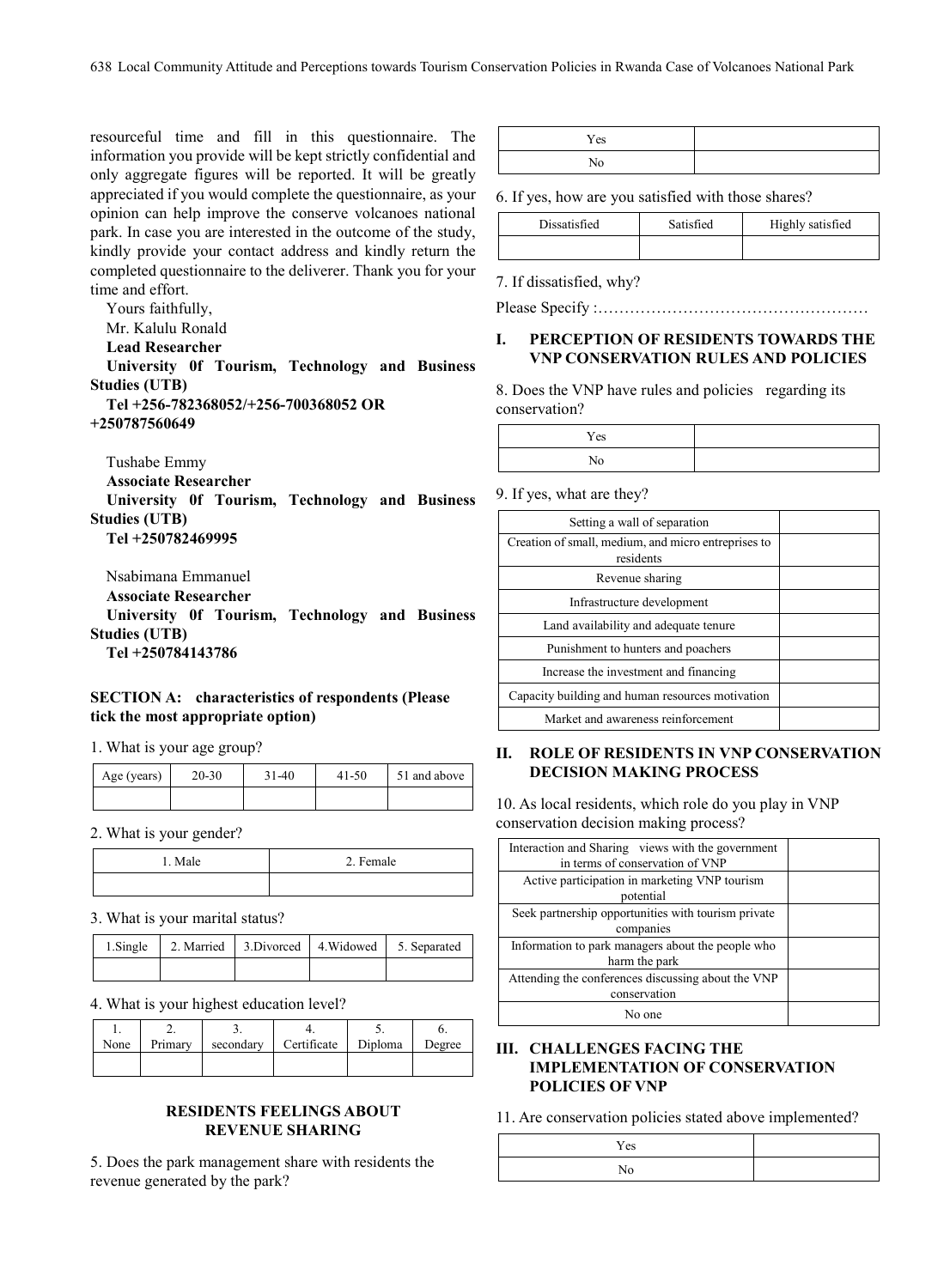resourceful time and fill in this questionnaire. The information you provide will be kept strictly confidential and only aggregate figures will be reported. It will be greatly appreciated if you would complete the questionnaire, as your opinion can help improve the conserve volcanoes national park. In case you are interested in the outcome of the study, kindly provide your contact address and kindly return the completed questionnaire to the deliverer. Thank you for your time and effort.

Yours faithfully, Mr. Kalulu Ronald

**Lead Researcher** 

**University 0f Tourism, Technology and Business Studies (UTB) Tel +256-782368052/+256-700368052 OR** 

**+250787560649**

Tushabe Emmy

**Associate Researcher** 

**University 0f Tourism, Technology and Business Studies (UTB)**

**Tel +250782469995**

Nsabimana Emmanuel

**Associate Researcher** 

**University 0f Tourism, Technology and Business Studies (UTB)**

**Tel +250784143786**

#### **SECTION A: characteristics of respondents (Please tick the most appropriate option)**

1. What is your age group?

| Age (years) | 20-30 | $31-40$ | 41-50 | 51 and above |
|-------------|-------|---------|-------|--------------|
|             |       |         |       |              |

2. What is your gender?

| Male | 2. Female |
|------|-----------|
|      |           |

#### 3. What is your marital status?

|  |  | 1. Single 2. Married 3. Divorced 4. Widowed 5. Separated |
|--|--|----------------------------------------------------------|
|  |  |                                                          |

4. What is your highest education level?

| None | Primary | secondary | Certificate | Diploma | Degree |
|------|---------|-----------|-------------|---------|--------|
|      |         |           |             |         |        |

#### **RESIDENTS FEELINGS ABOUT REVENUE SHARING**

5. Does the park management share with residents the revenue generated by the park?

| Yes |  |
|-----|--|
|     |  |

6. If yes, how are you satisfied with those shares?

| Dissatisfied | Satisfied | Highly satisfied |
|--------------|-----------|------------------|
|              |           |                  |

7. If dissatisfied, why?

Please Specify :……………………………………………

#### **I. PERCEPTION OF RESIDENTS TOWARDS THE VNP CONSERVATION RULES AND POLICIES**

8. Does the VNP have rules and policies regarding its conservation?

| Yes |  |
|-----|--|
| ъ т |  |

9. If yes, what are they?

| Setting a wall of separation                                     |  |
|------------------------------------------------------------------|--|
| Creation of small, medium, and micro entreprises to<br>residents |  |
| Revenue sharing                                                  |  |
| Infrastructure development                                       |  |
| Land availability and adequate tenure                            |  |
| Punishment to hunters and poachers                               |  |
| Increase the investment and financing                            |  |
| Capacity building and human resources motivation                 |  |
| Market and awareness reinforcement                               |  |
|                                                                  |  |

#### **II. ROLE OF RESIDENTS IN VNP CONSERVATION DECISION MAKING PROCESS**

10. As local residents, which role do you play in VNP conservation decision making process?

| Interaction and Sharing views with the government   |  |
|-----------------------------------------------------|--|
| in terms of conservation of VNP                     |  |
| Active participation in marketing VNP tourism       |  |
| potential                                           |  |
| Seek partnership opportunities with tourism private |  |
| companies                                           |  |
| Information to park managers about the people who   |  |
| harm the park                                       |  |
| Attending the conferences discussing about the VNP  |  |
| conservation                                        |  |
| No one                                              |  |

#### **III. CHALLENGES FACING THE IMPLEMENTATION OF CONSERVATION POLICIES OF VNP**

11. Are conservation policies stated above implemented?

| Yes |  |
|-----|--|
|     |  |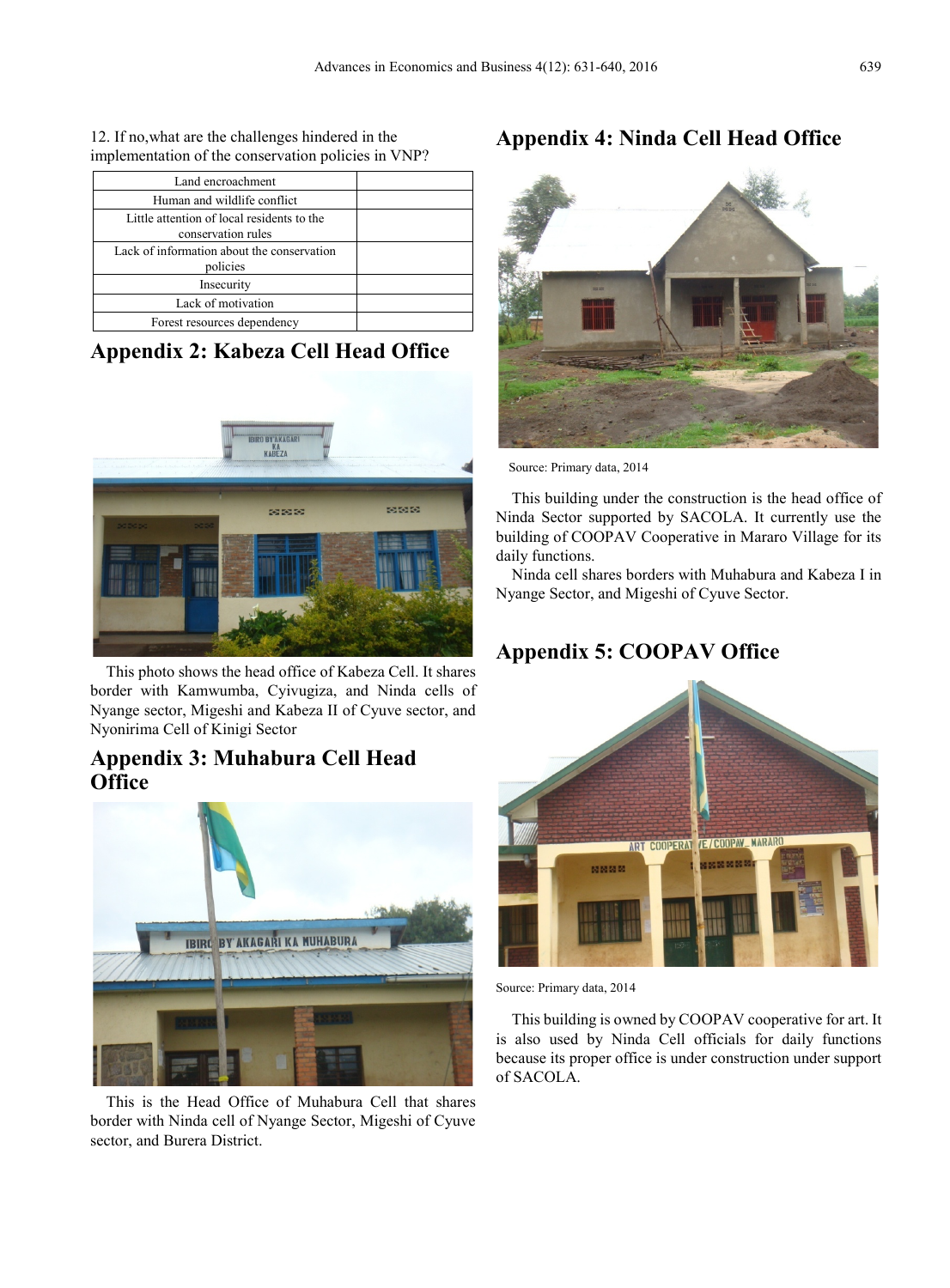12. If no,what are the challenges hindered in the implementation of the conservation policies in VNP?

| Land encroachment                          |  |
|--------------------------------------------|--|
| Human and wildlife conflict                |  |
| Little attention of local residents to the |  |
| conservation rules                         |  |
| Lack of information about the conservation |  |
| policies                                   |  |
| Insecurity                                 |  |
| Lack of motivation                         |  |
| Forest resources dependency                |  |

# **Appendix 2: Kabeza Cell Head Office**



This photo shows the head office of Kabeza Cell. It shares border with Kamwumba, Cyivugiza, and Ninda cells of Nyange sector, Migeshi and Kabeza II of Cyuve sector, and Nyonirima Cell of Kinigi Sector

# **Appendix 3: Muhabura Cell Head Office**



This is the Head Office of Muhabura Cell that shares border with Ninda cell of Nyange Sector, Migeshi of Cyuve sector, and Burera District.

# **Appendix 4: Ninda Cell Head Office**



Source: Primary data, 2014

This building under the construction is the head office of Ninda Sector supported by SACOLA. It currently use the building of COOPAV Cooperative in Mararo Village for its daily functions.

Ninda cell shares borders with Muhabura and Kabeza I in Nyange Sector, and Migeshi of Cyuve Sector.

# **Appendix 5: COOPAV Office**



Source: Primary data, 2014

This building is owned by COOPAV cooperative for art. It is also used by Ninda Cell officials for daily functions because its proper office is under construction under support of SACOLA.